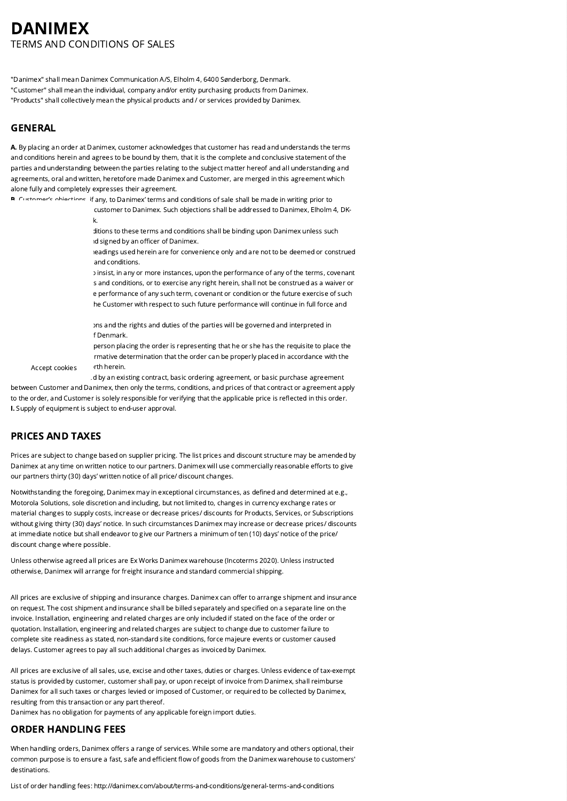# DANIMEX TERMS AND CONDITIONS OF SALES

"Danimex" shall mean Danimex Communication A/S, Elholm 4, 6400 Sønderborg, Denmark. "Customer" shall mean the individual, company and/or entity purchasing products from Danimex. "Products" shall collectively mean the physical products and / or services provided by Danimex.

## GENERAL

A. By placing an order at Danimex, customer acknowledges that customer has read and understands the terms and conditions herein and agrees to be bound by them, that it is the complete and conclusive statement of the parties and understanding between the parties relating to the subject matter hereof and all understanding and agreements, oral and written, heretofore made Danimex and Customer, are merged in this agreement which alone fully and completely expresses their agreement.

**B.** Customer's objections, if any, to Danimex' terms and conditions of sale shall be made in writing prior to customer to Danimex. Such objections shall be addressed to Danimex, Elholm 4, DK-6400 Sønderborg, Denmark.

> ditions to these terms and conditions shall be binding upon Danimex unless such id signed by an officer of Danimex.

leadings used herein are for convenience only and are not to be deemed or construed and conditions

E. The failure of Danimex to insist, in any or more instances, upon the performance of any of the terms, covenant s and conditions, or to exercise any right herein, shall not be construed as a waiver or e performance of any such term, covenant or condition or the future exercise of such he Customer with respect to such future performance will continue in full force and

ons and the rights and duties of the parties will be governed and interpreted in f Denmark.

person placing the order is representing that he or she has the requisite to place the irmative determination that the order can be properly placed in accordance with the

Accept cookies for th herein.

d by an existing contract, basic ordering agreement, or basic purchase agreement, between Customer and Danimex, then only the terms, conditions, and prices of that contract or agreement apply to the order, and Customer is solely responsible for verifying that the applicable price is reflected in this order. I. Supply of equipment is subject to end-user approval.

# PRICES AND TAXES

Prices are subject to change based on supplier pricing. The list prices and discount structure may be amended by Danimex at any time on written notice to our partners. Danimex will use commercially reasonable efforts to give our partners thirty (30) days' written notice of all price/ discount changes.

Notwithstanding the foregoing, Danimex may in exceptional circumstances, as defined and determined at e.g., Motorola Solutions, sole discretion and including, but not limited to, changes in currency exchange rates or material changes to supply costs, increase or decrease prices/ discounts for Products, Services, or Subscriptions without giving thirty (30) days' notice. In such circumstances Danimex may increase or decrease prices/ discounts at immediate notice but shall endeavor to give our Partners a minimum of ten (10) days' notice of the price/ discount change where possible.

Unless otherwise agreed all prices are Ex Works Danimex warehouse (Incoterms 2020). Unless instructed otherwise, Danimex will arrange for freight insurance and standard commercial shipping.

All prices are exclusive of shipping and insurance charges. Danimex can offer to arrange shipment and insurance on request. The cost shipment and insurance shall be billed separately and specified on a separate line on the invoice. Installation, engineering and related charges are only included if stated on the face of the order or quotation. Installation, engineering and related charges are subject to change due to customer failure to complete site readiness as stated, non-standard site conditions, force majeure events or customer caused delays. Customer agrees to pay all such additional charges as invoiced by Danimex.

All prices are exclusive of all sales, use, excise and other taxes, duties or charges. Unless evidence of tax-exempt status is provided by customer, customer shall pay, or upon receipt of invoice from Danimex, shall reimburse Danimex for all such taxes or charges levied or imposed of Customer, or required to be collected by Danimex, resulting from this transaction or any part thereof.

Danimex has no obligation for payments of any applicable foreign import duties.

### ORDER HANDLING FEES

When handling orders, Danimex offers a range of services. While some are mandatory and others optional, their common purpose is to ensure a fast, safe and efficient flow of goods from the Danimex warehouse to customers' destinations.

List of order handling fees: http://danimex.com/about/terms-and-conditions/general-terms-and-conditions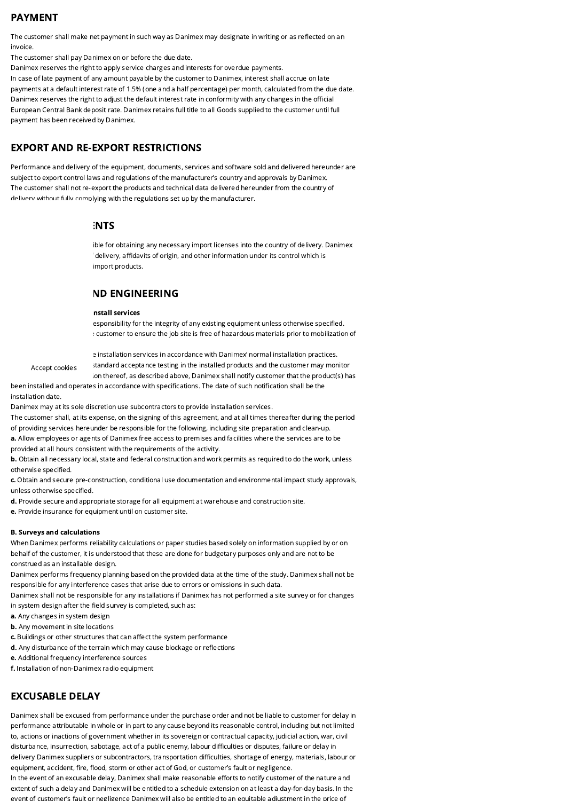# PAYMENT

The customer shall make net payment in such way as Danimex may designate in writing or as reflected on an invoice.

The customer shall pay Danimex on or before the due date.

Danimex reserves the right to apply service charges and interests for overdue payments. In case of late payment of any amount payable by the customer to Danimex, interest shall accrue on late payments at a default interest rate of 1.5% (one and a half percentage) per month, calculated from the due date. Danimex reserves the right to adjust the default interest rate in conformity with any changes in the official European Central Bank deposit rate. Danimex retains full title to all Goods supplied to the customer until full payment has been received by Danimex.

# EXPORT AND RE-EXPORT RESTRICTIONS

Performance and delivery of the equipment, documents, services and software sold and delivered hereunder are subject to export control laws and regulations of the manufacturer's country and approvals by Danimex. The customer shall not re-export the products and technical data delivered hereunder from the country of delivery without fully complying with the regulations set up by the manufacturer.

### :NTS

ible for obtaining any necessary import licenses into the country of delivery. Danimex delivery, affidavits of origin, and other information under its control which is import products.

# **ND ENGINEERING**

#### nstall services

esponsibility for the integrity of any existing equipment unless otherwise specified. : customer to ensure the job site is free of hazardous materials prior to mobilization of

Accept cookies

e installation services in accordance with Danimex' normal installation practices. standard acceptance testing in the installed products and the customer may monitor

ion thereof, as described above, Danimex shall notify customer that the product(s) has been installed and operates in accordance with specifications. The date of such notification shall be the

installation date.

Danimex may at its sole discretion use subcontractors to provide installation services.

The customer shall, at its expense, on the signing of this agreement, and at all times thereafter during the period of providing services hereunder be responsible for the following, including site preparation and clean-up.

a. Allow employees or agents of Danimex free access to premises and facilities where the services are to be provided at all hours consistent with the requirements of the activity.

b. Obtain all necessary local, state and federal construction and work permits as required to do the work, unless otherwise specified.

c. Obtain and secure pre-construction, conditional use documentation and environmental impact study approvals, unless otherwise specified.

d. Provide secure and appropriate storage for all equipment at warehouse and construction site.

e. Provide insurance for equipment until on customer site.

#### B. Surveys and calculations

When Danimex performs reliability calculations or paper studies based solely on information supplied by or on behalf of the customer, it is understood that these are done for budgetary purposes only and are not to be construed as an installable design.

Danimex performs frequency planning based on the provided data at the time of the study. Danimex shall not be responsible for any interference cases that arise due to errors or omissions in such data.

Danimex shall not be responsible for any installations if Danimex has not performed a site survey or for changes in system design after the field survey is completed, such as:

- a. Any changes in system design
- **b.** Any movement in site locations
- c. Buildings or other structures that can affect the system performance
- d. Any disturbance of the terrain which may cause blockage or reflections
- e. Additional frequency interference sources
- f. Installation of non-Danimex radio equipment

# EXCUSABLE DELAY

Danimex shall be excused from performance under the purchase order and not be liable to customer for delay in performance attributable in whole or in part to any cause beyond its reasonable control, including but not limited to, actions or inactions of government whether in its sovereign or contractual capacity, judicial action, war, civil disturbance, insurrection, sabotage, act of a public enemy, labour difficulties or disputes, failure or delay in delivery Danimex suppliers or subcontractors, transportation difficulties, shortage of energy, materials, labour or equipment, accident, fire, flood, storm or other act of God, or customer's fault or negligence.

In the event of an excusable delay, Danimex shall make reasonable efforts to notify customer of the nature and extent of such a delay and Danimex will be entitled to a schedule extension on at least a day-for-day basis. In the event of customer's fault or negligence Danimex will also be entitled to an equitable adjustment in the price of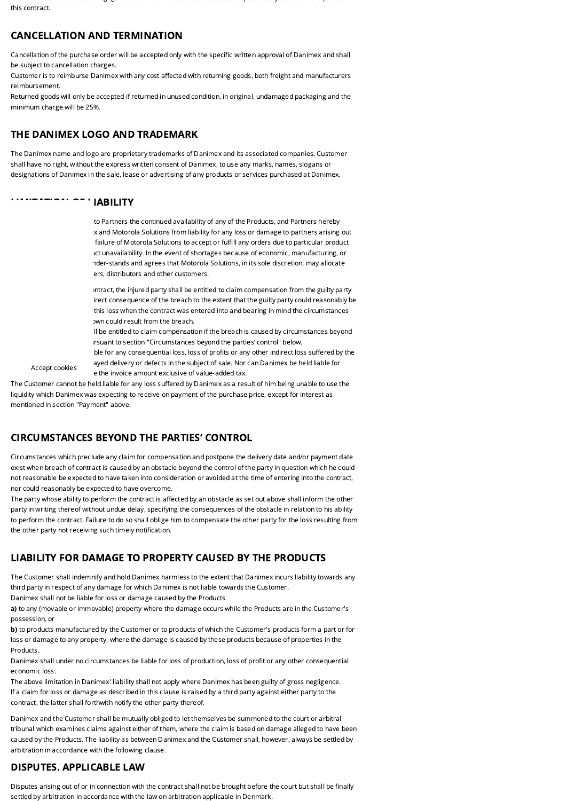e e t o custo e se au tro do custo e se au tab e adjust e termento e adjusta e termento e adjusta e termento e this contract.

## CANCELLATION AND TERMINATION

Cancellation of the purchase order will be accepted only with the specific written approval of Danimex and shall be subject to cancellation charges.

Customer is to reimburse Danimex with any cost affected with returning goods, both freight and manufacturers reimbursement.

Returned goods will only be accepted if returned in unused condition, in original, undamaged packaging and the minimum charge will be 25%.

### THE DANIMEX LOGO AND TRADEMARK

The Danimex name and logo are proprietary trademarks of Danimex and its associated companies. Customer shall have no right, without the express written consent of Danimex, to use any marks, names, slogans or designations of Danimex in the sale, lease or advertising of any products or services purchased at Danimex.

#### LIMITATION OF LIABILITY

Accept cookies

to Partners the continued availability of any of the Products, and Partners hereby x and Motorola Solutions from liability for any loss or damage to partners arising out failure of Motorola Solutions to accept or fulfill any orders due to particular product ict unavailability. In the event of shortages because of economic, manufacturing, or nder-stands and agrees that Motorola Solutions, in its sole discretion, may allocate ers, distributors and other customers.

Intract, the injured party shall be entitled to claim compensation from the guilty party irect consequence of the breach to the extent that the guilty party could reasonably be this loss when the contract was entered into and bearing in mind the circumstances he have could result from the breach.

II be entitled to claim compensation if the breach is caused by circumstances beyond irsuant to section "Circumstances beyond the parties' control" below.

ble for any consequential loss, loss of profits or any other indirect loss suffered by the ayed delivery or defects in the subject of sale. Nor can Danimex be held liable for e the invoice amount exclusive of value-added tax.

The Customer cannot be held liable for any loss suffered by Danimex as a result of him being unable to use the liquidity which Danimex was expecting to receive on payment of the purchase price, except for interest as mentioned in section "Payment" above.

### CIRCUMSTANCES BEYOND THE PARTIES' CONTROL

Circumstances which preclude any claim for compensation and postpone the delivery date and/or payment date exist when breach of contract is caused by an obstacle beyond the control of the party in question which he could not reasonable be expected to have taken into consideration or avoided at the time of entering into the contract, nor could reasonably be expected to have overcome.

The party whose ability to perform the contract is affected by an obstacle as set out above shall inform the other party in writing thereof without undue delay, specifying the consequences of the obstacle in relation to his ability to perform the contract. Failure to do so shall oblige him to compensate the other party for the loss resulting from the other party not receiving such timely notification.

# LIABILITY FOR DAMAGE TO PROPERTY CAUSED BY THE PRODUCTS

The Customer shall indemnify and hold Danimex harmless to the extent that Danimex incurs liability towards any third party in respect of any damage for which Danimex is not liable towards the Customer.

Danimex shall not be liable for loss or damage caused by the Products

a) to any (movable or immovable) property where the damage occurs while the Products are in the Customer's possession, or

b) to products manufactured by the Customer or to products of which the Customer's products form a part or for loss or damage to any property, where the damage is caused by these products because of properties in the Products.

Danimex shall under no circumstances be liable for loss of production, loss of profit or any other consequential economic loss.

The above limitation in Danimex' liability shall not apply where Danimex has been guilty of gross negligence. If a claim for loss or damage as described in this clause is raised by a third party against either party to the contract, the latter shall forthwith notify the other party thereof.

Danimex and the Customer shall be mutually obliged to let themselves be summoned to the court or arbitral tribunal which examines claims against either of them, where the claim is based on damage alleged to have been caused by the Products. The liability as between Danimex and the Customer shall, however, always be settled by arbitration in accordance with the following clause.

# DISPUTES. APPLICABLE LAW

Disputes arising out of or in connection with the contract shall not be brought before the court but shall be finally settled by arbitration in accordance with the law on arbitration applicable in Denmark.